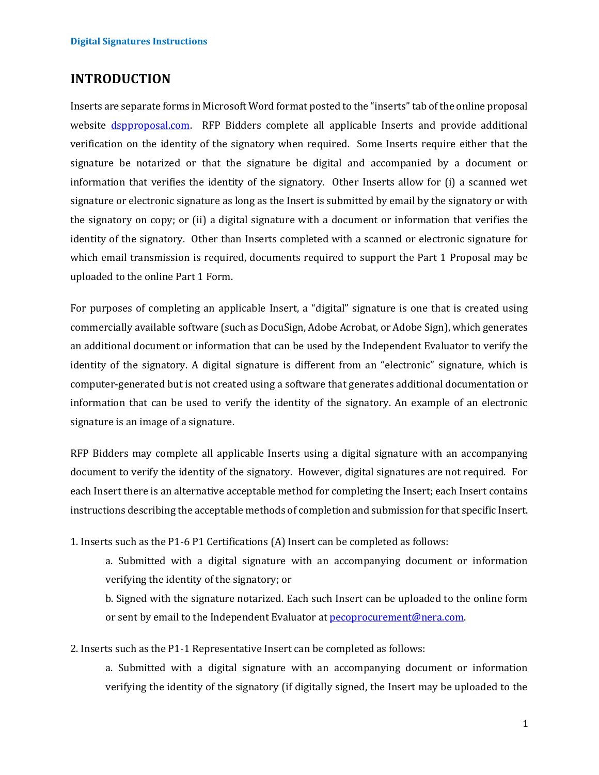# **INTRODUCTION**

Inserts are separate forms in Microsoft Word format posted to the "inserts" tab of the online proposal website [dspproposal.com.](https://www.dspproposal.com/) RFP Bidders complete all applicable Inserts and provide additional verification on the identity of the signatory when required. Some Inserts require either that the signature be notarized or that the signature be digital and accompanied by a document or information that verifies the identity of the signatory. Other Inserts allow for (i) a scanned wet signature or electronic signature as long as the Insert is submitted by email by the signatory or with the signatory on copy; or (ii) a digital signature with a document or information that verifies the identity of the signatory. Other than Inserts completed with a scanned or electronic signature for which email transmission is required, documents required to support the Part 1 Proposal may be uploaded to the online Part 1 Form.

For purposes of completing an applicable Insert, a "digital" signature is one that is created using commercially available software (such as DocuSign, Adobe Acrobat, or Adobe Sign), which generates an additional document or information that can be used by the Independent Evaluator to verify the identity of the signatory. A digital signature is different from an "electronic" signature, which is computer-generated but is not created using a software that generates additional documentation or information that can be used to verify the identity of the signatory. An example of an electronic signature is an image of a signature.

RFP Bidders may complete all applicable Inserts using a digital signature with an accompanying document to verify the identity of the signatory. However, digital signatures are not required. For each Insert there is an alternative acceptable method for completing the Insert; each Insert contains instructions describing the acceptable methods of completion and submission for that specific Insert.

1. Inserts such as the P1-6 P1 Certifications (A) Insert can be completed as follows:

a. Submitted with a digital signature with an accompanying document or information verifying the identity of the signatory; or

b. Signed with the signature notarized. Each such Insert can be uploaded to the online form or sent by email to the Independent Evaluator at [pecoprocurement@nera.com.](mailto:pecoprocurement@nera.com)

2. Inserts such as the P1-1 Representative Insert can be completed as follows:

a. Submitted with a digital signature with an accompanying document or information verifying the identity of the signatory (if digitally signed, the Insert may be uploaded to the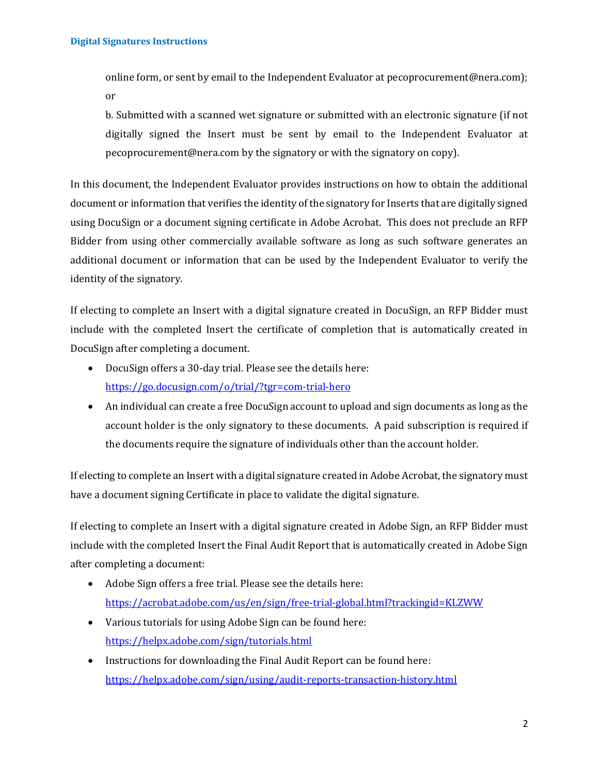online form, or sent by email to the Independent Evaluator at pecoprocurement@nera.com); or

b. Submitted with a scanned wet signature or submitted with an electronic signature (if not digitally signed the Insert must be sent by email to the Independent Evaluator at pecoprocurement@nera.com by the signatory or with the signatory on copy).

In this document, the Independent Evaluator provides instructions on how to obtain the additional document or information that verifies the identity of the signatory for Inserts that are digitally signed using DocuSign or a document signing certificate in Adobe Acrobat. This does not preclude an RFP Bidder from using other commercially available software as long as such software generates an additional document or information that can be used by the Independent Evaluator to verify the identity of the signatory.

If electing to complete an Insert with a digital signature created in DocuSign, an RFP Bidder must include with the completed Insert the certificate of completion that is automatically created in DocuSign after completing a document.

- DocuSign offers a 30-day trial. Please see the details here: <https://go.docusign.com/o/trial/?tgr=com-trial-hero>
- An individual can create a free DocuSign account to upload and sign documents as long as the account holder is the only signatory to these documents. A paid subscription is required if the documents require the signature of individuals other than the account holder.

If electing to complete an Insert with a digital signature created in Adobe Acrobat, the signatory must have a document signing Certificate in place to validate the digital signature.

If electing to complete an Insert with a digital signature created in Adobe Sign, an RFP Bidder must include with the completed Insert the Final Audit Report that is automatically created in Adobe Sign after completing a document:

- Adobe Sign offers a free trial. Please see the details here: <https://acrobat.adobe.com/us/en/sign/free-trial-global.html?trackingid=KLZWW>
- Various tutorials for using Adobe Sign can be found here: <https://helpx.adobe.com/sign/tutorials.html>
- Instructions for downloading the Final Audit Report can be found here: <https://helpx.adobe.com/sign/using/audit-reports-transaction-history.html>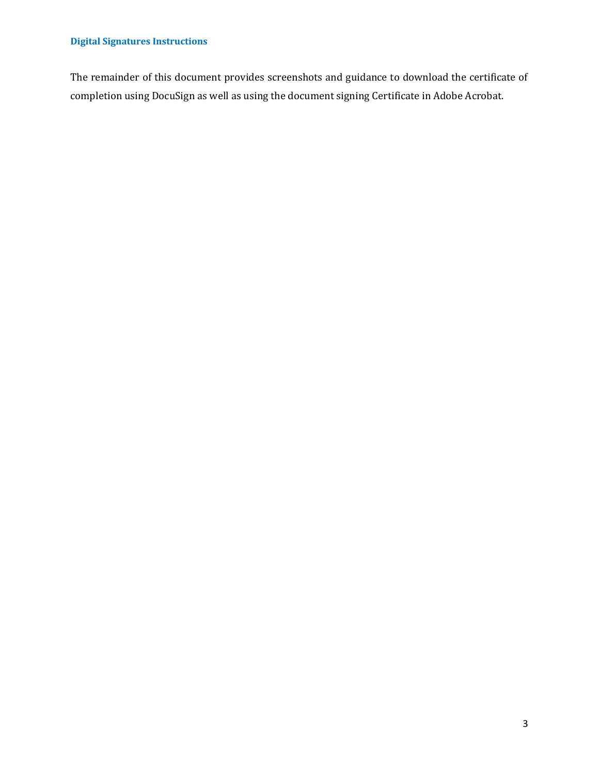## **Digital Signatures Instructions**

The remainder of this document provides screenshots and guidance to download the certificate of completion using DocuSign as well as using the document signing Certificate in Adobe Acrobat.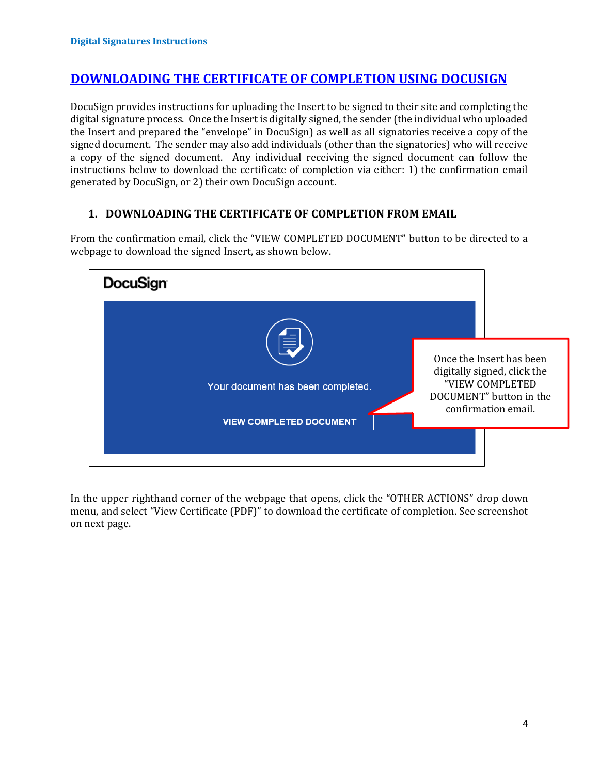## **DOWNLOADING THE CERTIFICATE OF COMPLETION USING DOCUSIGN**

DocuSign provides instructions for uploading the Insert to be signed to their site and completing the digital signature process. Once the Insert is digitally signed, the sender (the individual who uploaded the Insert and prepared the "envelope" in DocuSign) as well as all signatories receive a copy of the signed document. The sender may also add individuals (other than the signatories) who will receive a copy of the signed document. Any individual receiving the signed document can follow the instructions below to download the certificate of completion via either: 1) the confirmation email generated by DocuSign, or 2) their own DocuSign account.

#### **1. DOWNLOADING THE CERTIFICATE OF COMPLETION FROM EMAIL**



From the confirmation email, click the "VIEW COMPLETED DOCUMENT" button to be directed to a webpage to download the signed Insert, as shown below.

In the upper righthand corner of the webpage that opens, click the "OTHER ACTIONS" drop down menu, and select "View Certificate (PDF)" to download the certificate of completion. See screenshot on next page.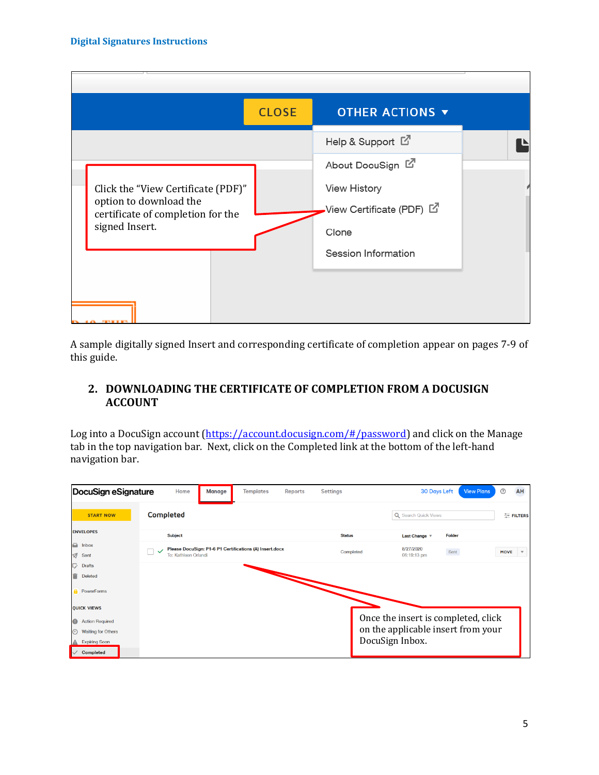

A sample digitally signed Insert and corresponding certificate of completion appear on pages 7-9 of this guide.

## **2. DOWNLOADING THE CERTIFICATE OF COMPLETION FROM A DOCUSIGN ACCOUNT**

Log into a DocuSign account [\(https://account.docusign.com/#/password\)](https://account.docusign.com/#/password) and click on the Manage tab in the top navigation bar. Next, click on the Completed link at the bottom of the left-hand navigation bar.

| DocuSign eSignature                        | Home<br><b>Templates</b><br>Reports<br>Manage                                   | <b>Settings</b> | ➀<br>AH<br><b>30 Days Left</b><br><b>View Plans</b>                          |
|--------------------------------------------|---------------------------------------------------------------------------------|-----------------|------------------------------------------------------------------------------|
| <b>START NOW</b>                           | <b>Completed</b>                                                                |                 | Q Search Quick Views<br>FILTERS                                              |
| <b>ENVELOPES</b>                           | <b>Subject</b>                                                                  | <b>Status</b>   | <b>Folder</b><br>Last Change $\overline{v}$                                  |
| $\overline{\mathbf{u}}$ Inbox<br>র<br>Sent | Please DocuSign: P1-6 P1 Certifications (A) Insert.docx<br>To: Kathleen Orlandi | Completed       | 8/27/2020<br>Sent<br><b>MOVE</b><br>$\boldsymbol{\mathrm{v}}$<br>06:19:13 pm |
| ヷ<br><b>Drafts</b><br>Deleted              |                                                                                 |                 |                                                                              |
| <b>PowerForms</b>                          |                                                                                 |                 |                                                                              |
| <b>QUICK VIEWS</b>                         |                                                                                 |                 |                                                                              |
| <b>Action Required</b>                     |                                                                                 |                 | Once the insert is completed, click                                          |
| <b>Waiting for Others</b><br>$_{\odot}$    |                                                                                 |                 | on the applicable insert from your                                           |
| <b>Expiring Soon</b>                       |                                                                                 |                 | DocuSign Inbox.                                                              |
| <b>Completed</b>                           |                                                                                 |                 |                                                                              |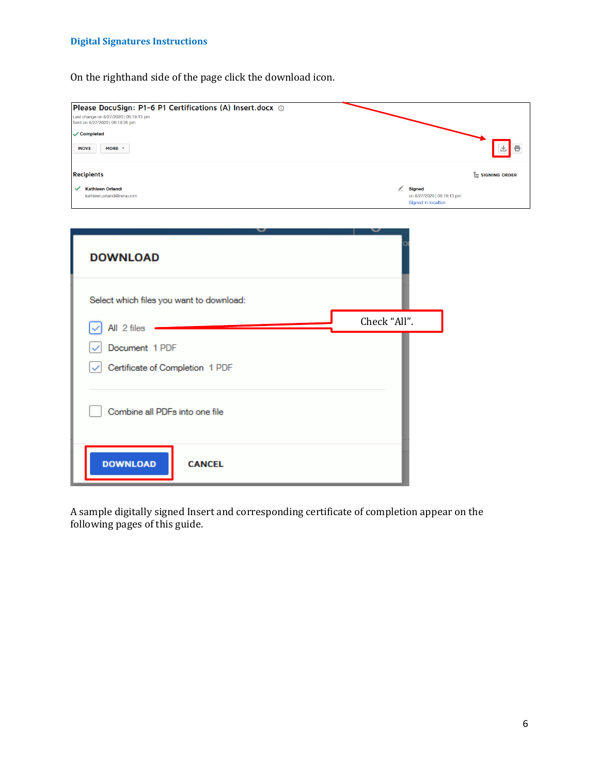#### **Digital Signatures Instructions**

On the righthand side of the page click the download icon.

| Please DocuSign: P1-6 P1 Certifications (A) Insert.docx (D)<br>Last change on 8/27/2020   06:19:13 pm<br>Sent on 8/27/2020   06:18:35 pm |              |                                                  |                        |
|------------------------------------------------------------------------------------------------------------------------------------------|--------------|--------------------------------------------------|------------------------|
| ✓ Completed                                                                                                                              |              |                                                  |                        |
| <b>MOVE</b><br>MORE <b>v</b>                                                                                                             |              |                                                  | 飞<br>Θ                 |
| <b>Recipients</b>                                                                                                                        |              |                                                  | <b>E</b> SIGNING ORDER |
| ← Kathleen Orlandi<br>kathleen.orlandi@nera.com                                                                                          | Signed       | on 8/27/2020   06:19:13 pm<br>Signed in location |                        |
|                                                                                                                                          |              |                                                  |                        |
| <b>DOWNLOAD</b><br>Select which files you want to download:                                                                              |              |                                                  |                        |
| All 2 files                                                                                                                              | Check "All". |                                                  |                        |
| Document 1 PDF                                                                                                                           |              |                                                  |                        |
| Certificate of Completion 1 PDF                                                                                                          |              |                                                  |                        |
| Combine all PDFs into one file                                                                                                           |              |                                                  |                        |
| <b>DOWNLOAD</b><br><b>CANCEL</b>                                                                                                         |              |                                                  |                        |

A sample digitally signed Insert and corresponding certificate of completion appear on the following pages of this guide.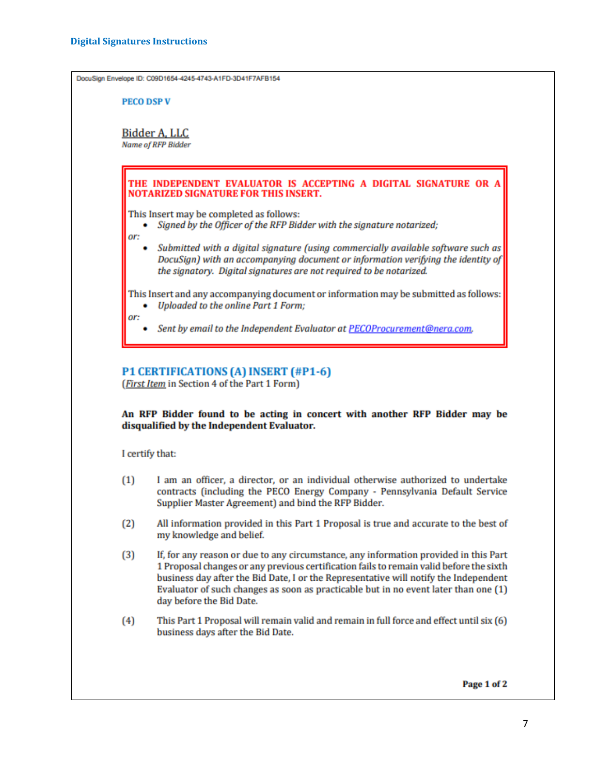DocuSign Envelope ID: C09D1654-4245-4743-A1FD-3D41F7AFB154

**PECO DSP V** 

**Bidder A. LLC Name of RFP Bidder** 

THE INDEPENDENT EVALUATOR IS ACCEPTING A DIGITAL SIGNATURE OR / **NOTARIZED SIGNATURE FOR THIS INSERT.** 

This Insert may be completed as follows:

Signed by the Officer of the RFP Bidder with the signature notarized;

or:

Submitted with a digital signature (using commercially available software such as DocuSign) with an accompanying document or information verifying the identity of the signatory. Digital signatures are not required to be notarized.

This Insert and any accompanying document or information may be submitted as follows: • Uploaded to the online Part 1 Form:

or:

Sent by email to the Independent Evaluator at PECOProcurement@nera.com.

# P1 CERTIFICATIONS (A) INSERT (#P1-6)

(First Item in Section 4 of the Part 1 Form)

An RFP Bidder found to be acting in concert with another RFP Bidder may be disqualified by the Independent Evaluator.

I certify that:

- $(1)$ I am an officer, a director, or an individual otherwise authorized to undertake contracts (including the PECO Energy Company - Pennsylvania Default Service Supplier Master Agreement) and bind the RFP Bidder.
- All information provided in this Part 1 Proposal is true and accurate to the best of  $(2)$ my knowledge and belief.
- If, for any reason or due to any circumstance, any information provided in this Part  $(3)$ 1 Proposal changes or any previous certification fails to remain valid before the sixth business day after the Bid Date, I or the Representative will notify the Independent Evaluator of such changes as soon as practicable but in no event later than one (1) day before the Bid Date.
- $(4)$ This Part 1 Proposal will remain valid and remain in full force and effect until six (6) business days after the Bid Date.

Page 1 of 2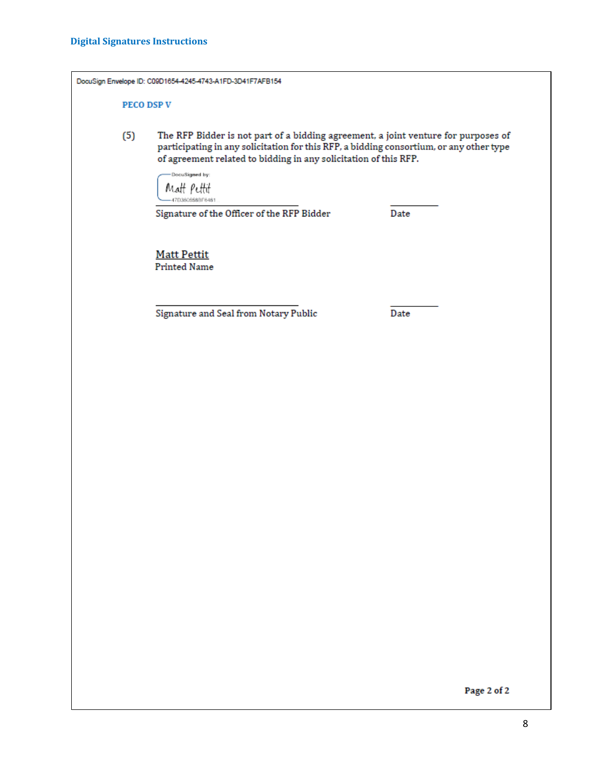|     | DocuSign Envelope ID: C09D1654-4245-4743-A1FD-3D41F7AFB154                                                                                                                                                                                        |
|-----|---------------------------------------------------------------------------------------------------------------------------------------------------------------------------------------------------------------------------------------------------|
|     | <b>PECO DSP V</b>                                                                                                                                                                                                                                 |
| (5) | The RFP Bidder is not part of a bidding agreement, a joint venture for purposes of<br>participating in any solicitation for this RFP, a bidding consortium, or any other type<br>of agreement related to bidding in any solicitation of this RFP. |
|     | DocuSigned by:<br>Matt Pettit<br>I7D360658BF648<br>Signature of the Officer of the RFP Bidder<br>Date                                                                                                                                             |
|     | <b>Matt Pettit</b><br><b>Printed Name</b>                                                                                                                                                                                                         |
|     | Signature and Seal from Notary Public<br>Date                                                                                                                                                                                                     |
|     |                                                                                                                                                                                                                                                   |

Page 2 of 2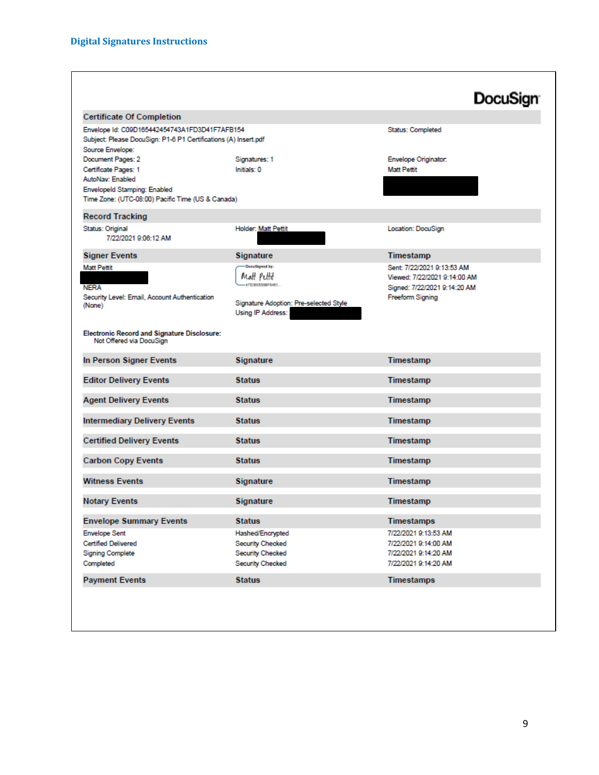|                                                                                                                                      |                                        | <b>DocuSign</b>                                         |
|--------------------------------------------------------------------------------------------------------------------------------------|----------------------------------------|---------------------------------------------------------|
| <b>Certificate Of Completion</b>                                                                                                     |                                        |                                                         |
| Envelope Id: C09D165442454743A1FD3D41F7AFB154<br>Subject: Please DocuSign: P1-6 P1 Certifications (A) Insert.pdf<br>Source Envelope: |                                        | Status: Completed                                       |
| Document Pages: 2                                                                                                                    | Signatures: 1                          | Envelope Originator:                                    |
| Certificate Pages: 1                                                                                                                 | Initials: 0                            | <b>Matt Pettit</b>                                      |
| AutoNav: Enabled<br>Envelopeld Stamping: Enabled                                                                                     |                                        |                                                         |
| Time Zone: (UTC-08:00) Pacific Time (US & Canada)                                                                                    |                                        |                                                         |
| <b>Record Tracking</b>                                                                                                               |                                        |                                                         |
| Status: Original                                                                                                                     | Holder: Matt Pettit                    | Location: DocuSign                                      |
| 7/22/2021 9:06:12 AM                                                                                                                 |                                        |                                                         |
| <b>Signer Events</b>                                                                                                                 | Signature                              | Timestamp                                               |
| <b>Matt Pettit</b>                                                                                                                   | <b>Decutigned by:</b>                  | Sent: 7/22/2021 9:13:53 AM                              |
| <b>NERA</b>                                                                                                                          | Matt Puttit<br>470360555075461         | Viewed: 7/22/2021 9:14:00 AM                            |
| Security Level: Email, Account Authentication                                                                                        |                                        | Signed: 7/22/2021 9:14:20 AM<br><b>Freeform Signing</b> |
| (None)                                                                                                                               | Signature Adoption: Pre-selected Style |                                                         |
|                                                                                                                                      | Using IP Address:                      |                                                         |
| <b>Electronic Record and Signature Disclosure:</b><br>Not Offered via DocuSign                                                       |                                        |                                                         |
| In Person Signer Events                                                                                                              | <b>Signature</b>                       | Timestamp                                               |
| <b>Editor Delivery Events</b>                                                                                                        | <b>Status</b>                          | Timestamp                                               |
| <b>Agent Delivery Events</b>                                                                                                         | <b>Status</b>                          | Timestamp                                               |
| <b>Intermediary Delivery Events</b>                                                                                                  | <b>Status</b>                          | Timestamp                                               |
| <b>Certified Delivery Events</b>                                                                                                     | <b>Status</b>                          | Timestamp                                               |
| <b>Carbon Copy Events</b>                                                                                                            | <b>Status</b>                          | Timestamp                                               |
| <b>Witness Events</b>                                                                                                                | <b>Signature</b>                       | Timestamp                                               |
| <b>Notary Events</b>                                                                                                                 | Signature                              | Timestamp                                               |
| <b>Envelope Summary Events</b>                                                                                                       | <b>Status</b>                          | Timestamps                                              |
| <b>Envelope Sent</b>                                                                                                                 | Hashed/Encrypted                       | 7/22/2021 9:13:53 AM                                    |
| <b>Certified Delivered</b>                                                                                                           | Security Checked                       | 7/22/2021 9:14:00 AM                                    |
| <b>Signing Complete</b>                                                                                                              | Security Checked                       | 7/22/2021 9:14:20 AM                                    |
| Completed                                                                                                                            | Security Checked                       | 7/22/2021 9:14:20 AM                                    |
|                                                                                                                                      | <b>Status</b>                          | <b>Timestamps</b>                                       |
| <b>Payment Events</b>                                                                                                                |                                        |                                                         |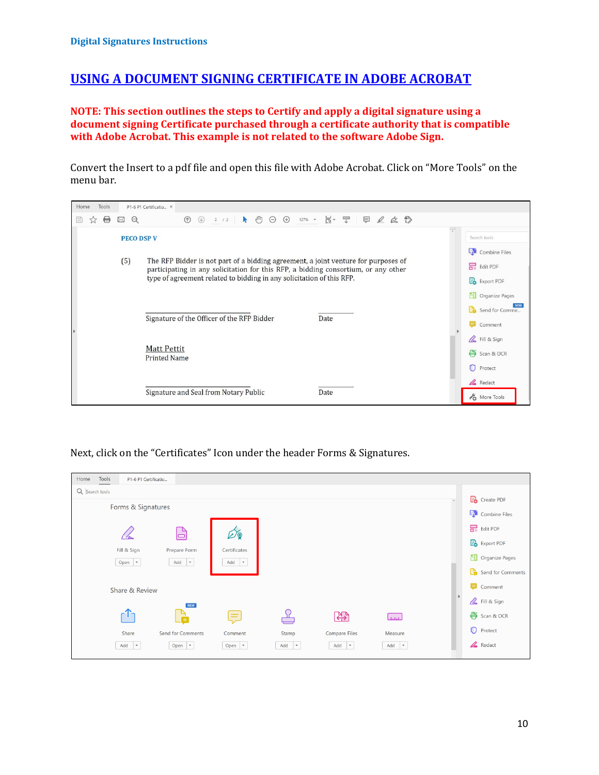## **USING A DOCUMENT SIGNING CERTIFICATE IN ADOBE ACROBAT**

**NOTE: This section outlines the steps to Certify and apply a digital signature using a document signing Certificate purchased through a certificate authority that is compatible with Adobe Acrobat. This example is not related to the software Adobe Sign.**

Convert the Insert to a pdf file and open this file with Adobe Acrobat. Click on "More Tools" on the menu bar.

| Home<br>Tools |                          | P1-6 P1 Certificatio ×                                                                                                                                                                                                                            |                                                                                          |
|---------------|--------------------------|---------------------------------------------------------------------------------------------------------------------------------------------------------------------------------------------------------------------------------------------------|------------------------------------------------------------------------------------------|
| ⊞<br>₩<br>☆   | $\odot$<br>$\boxtimes$   | 2 /2   ▶ ① 〇 ① 127% , 片· 平   早 2 女 2<br>$\circledcirc$                                                                                                                                                                                            |                                                                                          |
|               | <b>PECO DSP V</b><br>(5) | The RFP Bidder is not part of a bidding agreement, a joint venture for purposes of<br>participating in any solicitation for this RFP, a bidding consortium, or any other<br>type of agreement related to bidding in any solicitation of this RFP. | Search tools<br>Combine Files<br>Edit PDF<br><b>B</b> Export PDF<br>HП<br>Organize Pages |
|               |                          | Signature of the Officer of the RFP Bidder<br>Date<br><b>Matt Pettit</b>                                                                                                                                                                          | <b>NEW</b><br>Send for Comme<br>Comment<br><b>A.</b> Fill & Sign                         |
|               |                          | <b>Printed Name</b><br>Signature and Seal from Notary Public<br>Date                                                                                                                                                                              | Scan & OCR<br>O<br>Protect<br>$\mathscr{L}$ Redact<br>More Tools                         |

#### Next, click on the "Certificates" Icon under the header Forms & Signatures.

| Home           | Tools<br>P1-6 P1 Certificatio |                               |                                 |                  |                   |                            |                     |                          |
|----------------|-------------------------------|-------------------------------|---------------------------------|------------------|-------------------|----------------------------|---------------------|--------------------------|
| Q Search tools |                               |                               |                                 |                  |                   |                            | $\hat{\phantom{a}}$ | <b>Po</b> Create PDF     |
|                | Forms & Signatures            |                               |                                 |                  |                   |                            |                     | <b>Et</b> Combine Files  |
|                |                               |                               | $\mathscr{D}$ ,                 |                  |                   |                            |                     | Edit PDF                 |
|                | Fill & Sign                   | Prepare Form                  | Certificates                    |                  |                   |                            |                     | <b>Po</b> Export PDF     |
|                | Open $\vert \mathbf{v} \vert$ | $Add \rightarrow$             | Add<br>$\overline{\phantom{a}}$ |                  |                   |                            |                     | <b>ED</b> Organize Pages |
|                |                               |                               |                                 |                  |                   |                            |                     | Send for Comments        |
|                | Share & Review                |                               |                                 |                  |                   |                            | $\,$                | Comment                  |
|                |                               | <b>NEW</b>                    |                                 |                  |                   |                            |                     | <b>Le</b> Fill & Sign    |
|                | - 11                          | Ġ                             | $=$                             |                  | Œ                 | لستا                       |                     | Scan & OCR               |
|                | Share                         | Send for Comments             | Comment                         | Stamp            | Compare Files     | Measure                    |                     | O<br>Protect             |
|                | $Add \rightharpoonup$         | Open $\vert \mathbf{v} \vert$ | Open $\vert \mathbf{v} \vert$   | $Add \quad \neq$ | $Add \ \ \n\ \n\$ | $Add \ \blacktriangledown$ |                     | Redact                   |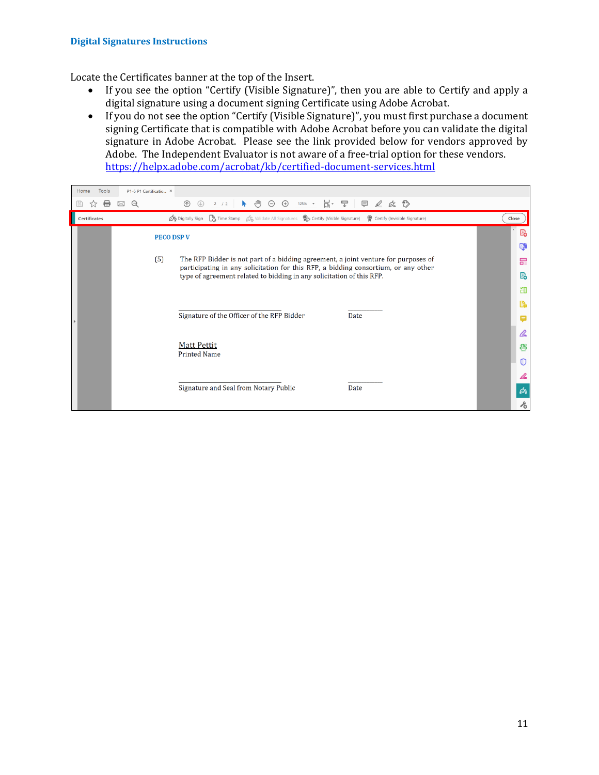Locate the Certificates banner at the top of the Insert.

- If you see the option "Certify (Visible Signature)", then you are able to Certify and apply a digital signature using a document signing Certificate using Adobe Acrobat.
- If you do not see the option "Certify (Visible Signature)", you must first purchase a document signing Certificate that is compatible with Adobe Acrobat before you can validate the digital signature in Adobe Acrobat. Please see the link provided below for vendors approved by Adobe. The Independent Evaluator is not aware of a free-trial option for these vendors. <https://helpx.adobe.com/acrobat/kb/certified-document-services.html>

| Tools<br>Home | P1-6 P1 Certificatio ×                                                                                                                                                                                    |                            |
|---------------|-----------------------------------------------------------------------------------------------------------------------------------------------------------------------------------------------------------|----------------------------|
| ₩<br>7.7      | ξſΠŋ<br>$125\%$ $\rightarrow$ $\frac{11}{13}$ $\rightarrow$ $\frac{125}{4}$<br>$\circledcirc$<br>$\Theta$ $\Theta$<br>$\Box$ $\circ$ $\circ$ $\Box$<br>$\circledf$<br>$\odot$<br>k.<br>2 / 2<br>$\bowtie$ |                            |
| Certificates  | Time Stamp & Validate All Signatures @ Certify (Visible Signature) @ Certify (Invisible Signature)<br><b>Do</b> Digitally Sign                                                                            | Close                      |
|               | <b>PECO DSP V</b>                                                                                                                                                                                         | P.                         |
|               |                                                                                                                                                                                                           | q,                         |
|               | (5)<br>The RFP Bidder is not part of a bidding agreement, a joint venture for purposes of<br>participating in any solicitation for this RFP, a bidding consortium, or any other                           | 巼                          |
|               | type of agreement related to bidding in any solicitation of this RFP.                                                                                                                                     | P.                         |
|               |                                                                                                                                                                                                           | 即                          |
|               |                                                                                                                                                                                                           | Cà                         |
|               | Signature of the Officer of the RFP Bidder<br>Date                                                                                                                                                        | Е                          |
|               |                                                                                                                                                                                                           | lho                        |
|               | <b>Matt Pettit</b><br><b>Printed Name</b>                                                                                                                                                                 | 侵                          |
|               |                                                                                                                                                                                                           | 0                          |
|               |                                                                                                                                                                                                           |                            |
|               | Signature and Seal from Notary Public<br>Date                                                                                                                                                             | Óq                         |
|               |                                                                                                                                                                                                           | $\mathcal{E}_{\mathsf{O}}$ |